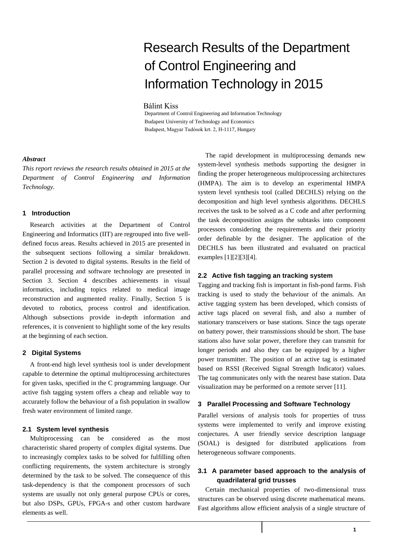# Research Results of the Department of Control Engineering and Information Technology in 2015

#### Bálint Kiss

Department of Control Engineering and Information Technology Budapest University of Technology and Economics Budapest, Magyar Tudósok krt. 2, H-1117, Hungary

#### *Abstract*

*This report reviews the research results obtained in 2015 at the Department of Control Engineering and Information Technology.*

## **1 Introduction**

Research activities at the Department of Control Engineering and Informatics (IIT) are regrouped into five welldefined focus areas. Results achieved in 2015 are presented in the subsequent sections following a similar breakdown. Section 2 is devoted to digital systems. Results in the field of parallel processing and software technology are presented in Section 3. Section 4 describes achievements in visual informatics, including topics related to medical image reconstruction and augmented reality. Finally, Section 5 is devoted to robotics, process control and identification. Although subsections provide in-depth information and references, it is convenient to highlight some of the key results at the beginning of each section.

# **2 Digital Systems**

A front-end high level synthesis tool is under development capable to determine the optimal multiprocessing architectures for given tasks, specified in the C programming language. Our active fish tagging system offers a cheap and reliable way to accurately follow the behaviour of a fish population in swallow fresh water environment of limited range.

### **2.1 System level synthesis**

Multiprocessing can be considered as the most characteristic shared property of complex digital systems. Due to increasingly complex tasks to be solved for fulfilling often conflicting requirements, the system architecture is strongly determined by the task to be solved. The consequence of this task-dependency is that the component processors of such systems are usually not only general purpose CPUs or cores, but also DSPs, GPUs, FPGA-s and other custom hardware elements as well.

The rapid development in multiprocessing demands new system-level synthesis methods supporting the designer in finding the proper heterogeneous multiprocessing architectures (HMPA). The aim is to develop an experimental HMPA system level synthesis tool (called DECHLS) relying on the decomposition and high level synthesis algorithms. DECHLS receives the task to be solved as a C code and after performing the task decomposition assigns the subtasks into component processors considering the requirements and their priority order definable by the designer. The application of the DECHLS has been illustrated and evaluated on practical examples [\[1\]\[2\]](#page-3-0)[\[3\]\[4\].](#page-3-1)

## **2.2 Active fish tagging an tracking system**

Tagging and tracking fish is important in fish-pond farms. Fish tracking is used to study the behaviour of the animals. An active tagging system has been developed, which consists of active tags placed on several fish, and also a number of stationary transceivers or base stations. Since the tags operate on battery power, their transmissions should be short. The base stations also have solar power, therefore they can transmit for longer periods and also they can be equipped by a higher power transmitter. The position of an active tag is estimated based on RSSI (Received Signal Strength Indicator) values. The tag communicates only with the nearest base station. Data visualization may be performed on a remote server [11].

### **3 Parallel Processing and Software Technology**

Parallel versions of analysis tools for properties of truss systems were implemented to verify and improve existing conjectures. A user friendly service description language (SOAL) is designed for distributed applications from heterogeneous software components.

# **3.1 A parameter based approach to the analysis of quadrilateral grid trusses**

Certain mechanical properties of two-dimensional truss structures can be observed using discrete mathematical means. Fast algorithms allow efficient analysis of a single structure of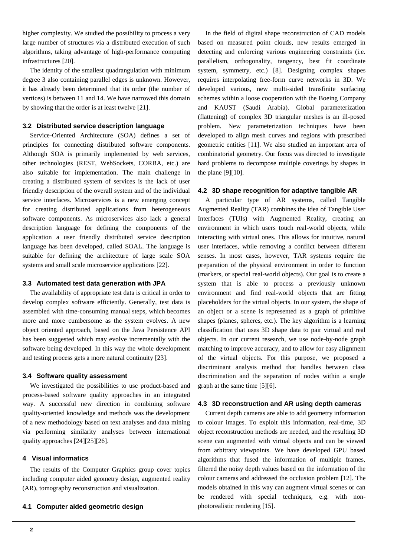higher complexity. We studied the possibility to process a very large number of structures via a distributed execution of such algorithms, taking advantage of high-performance computing infrastructures [\[20\].](#page-3-2)

The identity of the smallest quadrangulation with minimum degree 3 also containing parallel edges is unknown. However, it has already been determined that its order (the number of vertices) is between 11 and 14. We have narrowed this domain by showing that the order is at least twelve [\[21\].](#page-3-3)

## **3.2 Distributed service description language**

Service-Oriented Architecture (SOA) defines a set of principles for connecting distributed software components. Although SOA is primarily implemented by web services, other technologies (REST, WebSockets, CORBA, etc.) are also suitable for implementation. The main challenge in creating a distributed system of services is the lack of user friendly description of the overall system and of the individual service interfaces. Microservices is a new emerging concept for creating distributed applications from heterogeneous software components. As microservices also lack a general description language for defining the components of the application a user friendly distributed service description language has been developed, called SOAL. The language is suitable for defining the architecture of large scale SOA systems and small scale microservice application[s \[22\].](#page-3-4)

#### **3.3 Automated test data generation with JPA**

The availability of appropriate test data is critical in order to develop complex software efficiently. Generally, test data is assembled with time-consuming manual steps, which becomes more and more cumbersome as the system evolves. A new object oriented approach, based on the Java Persistence API has been suggested which may evolve incrementally with the software being developed. In this way the whole development and testing process gets a more natural continuity [\[23\].](#page-3-5)

#### **3.4 Software quality assessment**

We investigated the possibilities to use product-based and process-based software quality approaches in an integrated way. A successful new direction in combining software quality-oriented knowledge and methods was the development of a new methodology based on text analyses and data mining via performing similarity analyses between international quality approaches [\[24\]\[25\]](#page-3-6)[\[26\].](#page-3-7)

## **4 Visual informatics**

The results of the Computer Graphics group cover topics including computer aided geometry design, augmented reality (AR), tomography reconstruction and visualization.

#### **4.1 Computer aided geometric design**

In the field of digital shape reconstruction of CAD models based on measured point clouds, new results emerged in detecting and enforcing various engineering constraints (i.e. parallelism, orthogonality, tangency, best fit coordinate system, symmetry, etc.) [\[8\].](#page-3-8) Designing complex shapes requires interpolating free-form curve networks in 3D. We developed various, new multi-sided transfinite surfacing schemes within a loose cooperation with the Boeing Company and KAUST (Saudi Arabia). Global parameterization (flattening) of complex 3D triangular meshes is an ill-posed problem. New parameterization techniques have been developed to align mesh curves and regions with prescribed geometric entities [\[11\].](#page-3-9) We also studied an important area of combinatorial geometry. Our focus was directed to investigate hard problems to decompose multiple coverings by shapes in the plane [\[9\]\[10\].](#page-3-10)

#### **4.2 3D shape recognition for adaptive tangible AR**

A particular type of AR systems, called Tangible Augmented Reality (TAR) combines the idea of Tangible User Interfaces (TUIs) with Augmented Reality, creating an environment in which users touch real-world objects, while interacting with virtual ones. This allows for intuitive, natural user interfaces, while removing a conflict between different senses. In most cases, however, TAR systems require the preparation of the physical environment in order to function (markers, or special real-world objects). Our goal is to create a system that is able to process a previously unknown environment and find real-world objects that are fitting placeholders for the virtual objects. In our system, the shape of an object or a scene is represented as a graph of primitive shapes (planes, spheres, etc.). The key algorithm is a learning classification that uses 3D shape data to pair virtual and real objects. In our current research, we use node-by-node graph matching to improve accuracy, and to allow for easy alignment of the virtual objects. For this purpose, we proposed a discriminant analysis method that handles between class discrimination and the separation of nodes within a single graph at the same time [\[5\]\[6\].](#page-3-11)

### **4.3 3D reconstruction and AR using depth cameras**

Current depth cameras are able to add geometry information to colour images. To exploit this information, real-time, 3D object reconstruction methods are needed, and the resulting 3D scene can augmented with virtual objects and can be viewed from arbitrary viewpoints. We have developed GPU based algorithms that fused the information of multiple frames, filtered the noisy depth values based on the information of the colour cameras and addressed the occlusion problem [\[12\].](#page-3-12) The models obtained in this way can augment virtual scenes or can be rendered with special techniques, e.g. with nonphotorealistic rendering [\[15\].](#page-3-13)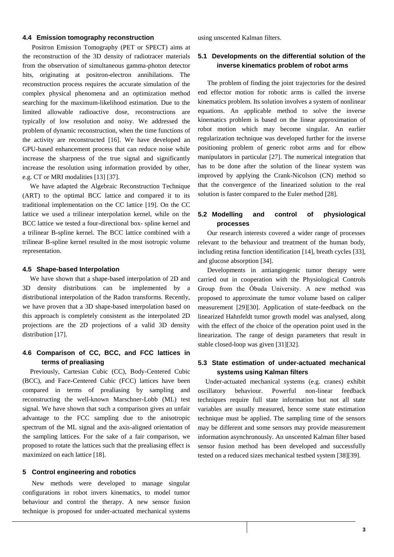#### **4.4 Emission tomography reconstruction**

Positron Emission Tomography (PET or SPECT) aims at the reconstruction of the 3D density of radiotracer materials from the observation of simultaneous gamma-photon detector hits, originating at positron-electron annihilations. The reconstruction process requires the accurate simulation of the complex physical phenomena and an optimization method searching for the maximum-likelihood estimation. Due to the limited allowable radioactive dose, reconstructions are typically of low resolution and noisy. We addressed the problem of dynamic reconstruction, when the time functions of the activity are reconstructed [\[16\].](#page-3-14) We have developed an GPU-based enhancement process that can reduce noise while increase the sharpness of the true signal and significantly increase the resolution using information provided by other, e.g. CT or MRI modalities [\[13\]](#page-3-15) [\[37\].](#page-4-0)

We have adapted the Algebraic Reconstruction Technique (ART) to the optimal BCC lattice and compared it to its traditional implementation on the CC lattice [\[19\].](#page-3-16) On the CC lattice we used a trilinear interpolation kernel, while on the BCC lattice we tested a four-directional box- spline kernel and a trilinear B-spline kernel. The BCC lattice combined with a trilinear B-spline kernel resulted in the most isotropic volume representation.

#### **4.5 Shape-based Interpolation**

We have shown that a shape-based interpolation of 2D and 3D density distributions can be implemented by a distributional interpolation of the Radon transforms. Recently, we have proven that a 3D shape-based interpolation based on this approach is completely consistent as the interpolated 2D projections are the 2D projections of a valid 3D density distribution [\[17\].](#page-3-17) 

# **4.6 Comparison of CC, BCC, and FCC lattices in terms of prealiasing**

Previously, Cartesian Cubic (CC), Body-Centered Cubic (BCC), and Face-Centered Cubic (FCC) lattices have been compared in terms of prealiasing by sampling and reconstructing the well-known Marschner-Lobb (ML) test signal. We have shown that such a comparison gives an unfair advantage to the FCC sampling due to the anisotropic spectrum of the ML signal and the axis-aligned orientation of the sampling lattices. For the sake of a fair comparison, we proposed to rotate the lattices such that the prealiasing effect is maximized on each lattice [\[18\].](#page-3-18)

## **5 Control engineering and robotics**

New methods were developed to manage singular configurations in robot invers kinematics, to model tumor behaviour and control the therapy. A new sensor fusion technique is proposed for under-actuated mechanical systems using unscented Kalman filters.

# **5.1 Developments on the differential solution of the inverse kinematics problem of robot arms**

The problem of finding the joint trajectories for the desired end effector motion for robotic arms is called the inverse kinematics problem. Its solution involves a system of nonlinear equations. An applicable method to solve the inverse kinematics problem is based on the linear approximation of robot motion which may become singular. An earlier regularization technique was developed further for the inverse positioning problem of generic robot arms and for elbow manipulators in particular [\[27\].](#page-3-19) The numerical integration that has to be done after the solution of the linear system was improved by applying the Crank-Nicolson (CN) method so that the convergence of the linearized solution to the real solution is faster compared to the Euler method [\[28\].](#page-3-20)

# **5.2 Modelling and control of physiological processes**

Our research interests covered a wider range of processes relevant to the behaviour and treatment of the human body, including retina function identificatio[n \[14\],](#page-3-21) breath cycle[s \[33\],](#page-4-1) and glucose absorption [\[34\].](#page-4-2)

Developments in antiangiogenic tumor therapy were carried out in cooperation with the Physiological Controls Group from the Óbuda University. A new method was proposed to approximate the tumor volume based on caliper measurement [\[29\]\[30\].](#page-3-22) Application of state-feedback on the linearized Hahnfeldt tumor growth model was analysed, along with the effect of the choice of the operation point used in the linearization. The range of design parameters that result in stable closed-loop was given [\[31\]\[32\].](#page-4-3)

# **5.3 State estimation of under-actuated mechanical systems using Kalman filters**

Under-actuated mechanical systems (e.g. cranes) exhibit oscillatory behaviour. Powerful non-linear feedback techniques require full state information but not all state variables are usually measured, hence some state estimation technique must be applied. The sampling time of the sensors may be different and some sensors may provide measurement information asynchronously. An unscented Kalman filter based sensor fusion method has been developed and successfully tested on a reduced sizes mechanical testbed syste[m \[38\]\[39\].](#page-4-4)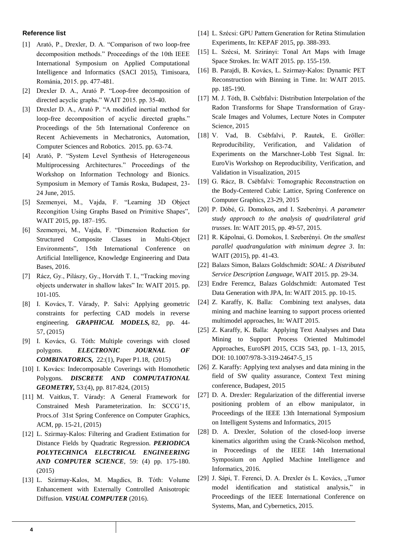## **Reference list**

- <span id="page-3-0"></span>[1] Arató, P., Drexler, D. A. "Comparison of two loop-free decomposition methods." Proceedings of the 10th IEEE International Symposium on Applied Computational Intelligence and Informatics (SACI 2015), Timisoara, Románia, 2015. pp. 477-481.
- [2] Drexler D. A., Arató P. "Loop-free decomposition of directed acyclic graphs." WAIT 2015. pp. 35-40.
- <span id="page-3-1"></span>[3] Drexler D. A., Arató P. "A modified inertial method for loop-free decomposition of acyclic directed graphs." Proceedings of the 5th International Conference on Recent Achievements in Mechatronics, Automation, Computer Sciences and Robotics. 2015. pp. 63-74.
- [4] Arató, P. "System Level Synthesis of Heterogeneous Multiprocessing Architectures." Proceedings of the Workshop on Information Technology and Bionics. Symposium in Memory of Tamás Roska, Budapest, 23- 24 June, 2015.
- <span id="page-3-11"></span>[5] Szemenyei, M., Vajda, F. "Learning 3D Object Recongition Using Graphs Based on Primitive Shapes", WAIT 2015, pp. 187–195.
- [6] Szemenyei, M., Vajda, F. "Dimension Reduction for Structured Composite Classes in Multi-Object Environments", 15th International Conference on Artificial Intelligence, Knowledge Engineering and Data Bases, 2016.
- [7] Rácz, Gy., Pilászy, Gy., Horváth T. I., "Tracking moving objects underwater in shallow lakes" In: WAIT 2015. pp. 101-105.
- <span id="page-3-8"></span>[8] I. Kovács, T. Várady, P. Salvi: Applying geometric constraints for perfecting CAD models in reverse engineering. *GRAPHICAL MODELS,* 82, pp. 44- 57, (2015)
- <span id="page-3-10"></span>[9] I. Kovács, G. Tóth: Multiple coverings with closed polygons. *ELECTRONIC JOURNAL OF COMBINATORICS,* 22:(1), Paper P1.18, (2015)
- [10] I. Kovács: Indecomposable Coverings with Homothetic Polygons. *DISCRETE AND COMPUTATIONAL GEOMETRY,* 53:(4), pp. 817-824, (2015)
- <span id="page-3-9"></span>[11] M. Vaitkus, T. Várady: A General Framework for Constrained Mesh Parameterization. In: SCCG'15, Procs.of 31st Spring Conference on Computer Graphics, ACM, pp. 15-21, (2015)
- <span id="page-3-12"></span>[12] L. Szirmay-Kalos: Filtering and Gradient Estimation for Distance Fields by Quadratic Regression. *PERIODICA POLYTECHNICA ELECTRICAL ENGINEERING AND COMPUTER SCIENCE*, 59: (4) pp. 175-180. (2015)
- <span id="page-3-15"></span>[13] L. Szirmay-Kalos, M. Magdics, B. Tóth: Volume Enhancement with Externally Controlled Anisotropic Diffusion. *VISUAL COMPUTER* (2016).
- <span id="page-3-21"></span>[14] L. Szécsi: GPU Pattern Generation for Retina Stimulation Experiments, In: KEPAF 2015, pp. 388-393.
- <span id="page-3-13"></span>[15] L. Szécsi, M. Szirányi: Tonal Art Maps with Image Space Strokes. In: WAIT 2015. pp. 155-159.
- <span id="page-3-14"></span>[16] B. Parajdi, B. Kovács, L. Szirmay-Kalos: Dynamic PET Reconstruction with Binning in Time. In: WAIT 2015. pp. 185-190.
- <span id="page-3-17"></span>[17] M. J. Tóth, B. Csébfalvi: Distribution Interpolation of the Radon Transforms for Shape Transformation of Gray-Scale Images and Volumes, Lecture Notes in Computer Science, 2015
- <span id="page-3-18"></span>[18] V. Vad, B. Csébfalvi, P. Rautek, E. Gröller: Reproducibility, Verification, and Validation of Experiments on the Marschner-Lobb Test Signal. In: EuroVis Workshop on Reproducibility, Verification, and Validation in Visualization, 2015
- <span id="page-3-16"></span>[19] G. Rácz, B. Csébfalvi: Tomographic Reconstruction on the Body-Centered Cubic Lattice, Spring Conference on Computer Graphics, 23-29, 2015
- <span id="page-3-2"></span>[20] P. Dóbé, G. Domokos, and I. Szeberényi. *A parameter study approach to the analysis of quadrilateral grid trusses*. In: WAIT 2015, pp. 49-57, 2015.
- <span id="page-3-3"></span>[21] R. Kápolnai, G. Domokos, I. Szeberényi. *On the smallest parallel quadrangulation with minimum degree 3*. In: WAIT (2015), pp. 41-43.
- <span id="page-3-4"></span>[22] Balazs Simon, Balazs Goldschmidt: *SOAL: A Distributed Service Description Language*, WAIT 2015. pp. 29-34.
- <span id="page-3-5"></span>[23] Endre Feremcz, Balazs Goldschmidt: Automated Test Data Generation with JPA, In: WAIT 2015. pp. 10-15.
- <span id="page-3-6"></span>[24] Z. Karaffy, K. Balla: Combining text analyses, data mining and machine learning to support process oriented multimodel approaches, In: WAIT 2015.
- [25] Z. Karaffy, K. Balla: Applying Text Analyses and Data Mining to Support Process Oriented Multimodel Approaches, EuroSPI 2015, CCIS 543, pp. 1–13, 2015, DOI: 10.1007/978-3-319-24647-5\_15
- <span id="page-3-7"></span>[26] Z. Karaffy: Applying text analyses and data mining in the field of SW quality assurance, Context Text mining conference, Budapest, 2015
- <span id="page-3-19"></span>[27] D. A. Drexler: Regularization of the differential inverse positioning problem of an elbow manipulator, in Proceedings of the IEEE 13th International Symposium on Intelligent Systems and Informatics, 2015
- <span id="page-3-20"></span>[28] D. A. Drexler, Solution of the closed-loop inverse kinematics algorithm using the Crank-Nicolson method, in Proceedings of the IEEE 14th International Symposium on Applied Machine Intelligence and Informatics, 2016.
- <span id="page-3-22"></span>[29] J. Sápi, T. Ferenci, D. A. Drexler és L. Kovács, "Tumor model identification and statistical analysis," in Proceedings of the IEEE International Conference on Systems, Man, and Cybernetics, 2015.